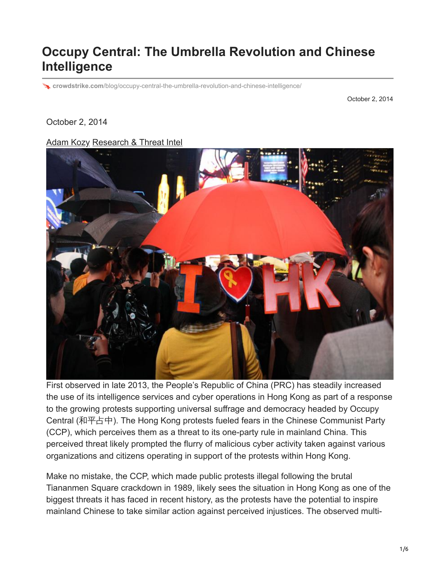## **Occupy Central: The Umbrella Revolution and Chinese Intelligence**

**crowdstrike.com**[/blog/occupy-central-the-umbrella-revolution-and-chinese-intelligence/](https://www.crowdstrike.com/blog/occupy-central-the-umbrella-revolution-and-chinese-intelligence/)

October 2, 2014

October 2, 2014

[Adam Kozy](https://www.crowdstrike.com/blog/author/kozy/) [Research & Threat Intel](https://www.crowdstrike.com/blog/category/threat-intel-research/)



First observed in late 2013, the People's Republic of China (PRC) has steadily increased the use of its intelligence services and cyber operations in Hong Kong as part of a response to the growing protests supporting universal suffrage and democracy headed by Occupy Central (和平占中). The Hong Kong protests fueled fears in the Chinese Communist Party (CCP), which perceives them as a threat to its one-party rule in mainland China. This perceived threat likely prompted the flurry of malicious cyber activity taken against various organizations and citizens operating in support of the protests within Hong Kong.

Make no mistake, the CCP, which made public protests illegal following the brutal Tiananmen Square crackdown in 1989, likely sees the situation in Hong Kong as one of the biggest threats it has faced in recent history, as the protests have the potential to inspire mainland Chinese to take similar action against perceived injustices. The observed multi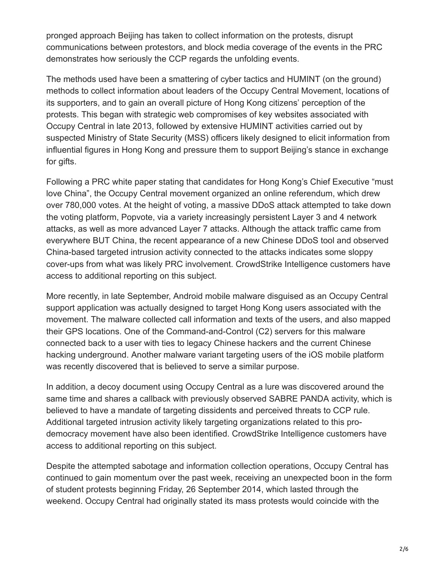pronged approach Beijing has taken to collect information on the protests, disrupt communications between protestors, and block media coverage of the events in the PRC demonstrates how seriously the CCP regards the unfolding events.

The methods used have been a smattering of cyber tactics and HUMINT (on the ground) methods to collect information about leaders of the Occupy Central Movement, locations of its supporters, and to gain an overall picture of Hong Kong citizens' perception of the protests. This began with strategic web compromises of key websites associated with Occupy Central in late 2013, followed by extensive HUMINT activities carried out by suspected Ministry of State Security (MSS) officers likely designed to elicit information from influential figures in Hong Kong and pressure them to support Beijing's stance in exchange for gifts.

Following a PRC white paper stating that candidates for Hong Kong's Chief Executive "must love China", the Occupy Central movement organized an online referendum, which drew over 780,000 votes. At the height of voting, a massive DDoS attack attempted to take down the voting platform, Popvote, via a variety increasingly persistent Layer 3 and 4 network attacks, as well as more advanced Layer 7 attacks. Although the attack traffic came from everywhere BUT China, the recent appearance of a new Chinese DDoS tool and observed China-based targeted intrusion activity connected to the attacks indicates some sloppy cover-ups from what was likely PRC involvement. CrowdStrike Intelligence customers have access to additional reporting on this subject.

More recently, in late September, Android mobile malware disguised as an Occupy Central support application was actually designed to target Hong Kong users associated with the movement. The malware collected call information and texts of the users, and also mapped their GPS locations. One of the Command-and-Control (C2) servers for this malware connected back to a user with ties to legacy Chinese hackers and the current Chinese hacking underground. Another malware variant targeting users of the iOS mobile platform was recently discovered that is believed to serve a similar purpose.

In addition, a decoy document using Occupy Central as a lure was discovered around the same time and shares a callback with previously observed SABRE PANDA activity, which is believed to have a mandate of targeting dissidents and perceived threats to CCP rule. Additional targeted intrusion activity likely targeting organizations related to this prodemocracy movement have also been identified. CrowdStrike Intelligence customers have access to additional reporting on this subject.

Despite the attempted sabotage and information collection operations, Occupy Central has continued to gain momentum over the past week, receiving an unexpected boon in the form of student protests beginning Friday, 26 September 2014, which lasted through the weekend. Occupy Central had originally stated its mass protests would coincide with the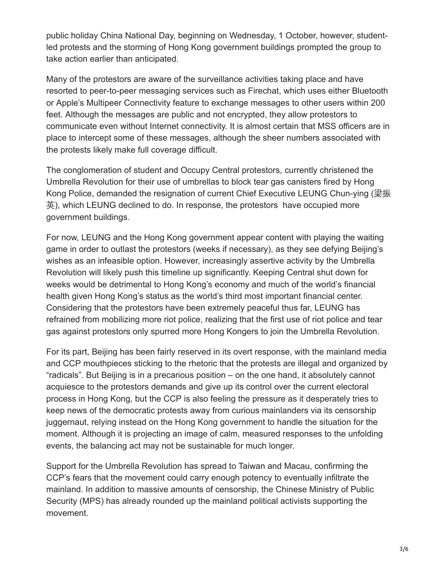public holiday China National Day, beginning on Wednesday, 1 October, however, studentled protests and the storming of Hong Kong government buildings prompted the group to take action earlier than anticipated.

Many of the protestors are aware of the surveillance activities taking place and have resorted to peer-to-peer messaging services such as Firechat, which uses either Bluetooth or Apple's Multipeer Connectivity feature to exchange messages to other users within 200 feet. Although the messages are public and not encrypted, they allow protestors to communicate even without Internet connectivity. It is almost certain that MSS officers are in place to intercept some of these messages, although the sheer numbers associated with the protests likely make full coverage difficult.

The conglomeration of student and Occupy Central protestors, currently christened the Umbrella Revolution for their use of umbrellas to block tear gas canisters fired by Hong Kong Police, demanded the resignation of current Chief Executive LEUNG Chun-ying (梁振 英), which LEUNG declined to do. In response, the protestors have occupied more government buildings.

For now, LEUNG and the Hong Kong government appear content with playing the waiting game in order to outlast the protestors (weeks if necessary), as they see defying Beijing's wishes as an infeasible option. However, increasingly assertive activity by the Umbrella Revolution will likely push this timeline up significantly. Keeping Central shut down for weeks would be detrimental to Hong Kong's economy and much of the world's financial health given Hong Kong's status as the world's third most important financial center. Considering that the protestors have been extremely peaceful thus far, LEUNG has refrained from mobilizing more riot police, realizing that the first use of riot police and tear gas against protestors only spurred more Hong Kongers to join the Umbrella Revolution.

For its part, Beijing has been fairly reserved in its overt response, with the mainland media and CCP mouthpieces sticking to the rhetoric that the protests are illegal and organized by "radicals". But Beijing is in a precarious position – on the one hand, it absolutely cannot acquiesce to the protestors demands and give up its control over the current electoral process in Hong Kong, but the CCP is also feeling the pressure as it desperately tries to keep news of the democratic protests away from curious mainlanders via its censorship juggernaut, relying instead on the Hong Kong government to handle the situation for the moment. Although it is projecting an image of calm, measured responses to the unfolding events, the balancing act may not be sustainable for much longer.

Support for the Umbrella Revolution has spread to Taiwan and Macau, confirming the CCP's fears that the movement could carry enough potency to eventually infiltrate the mainland. In addition to massive amounts of censorship, the Chinese Ministry of Public Security (MPS) has already rounded up the mainland political activists supporting the movement.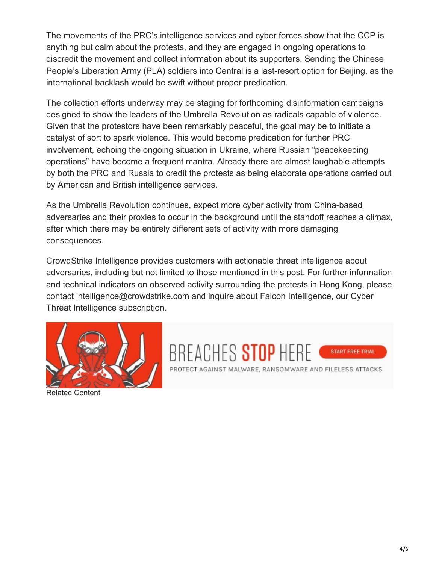The movements of the PRC's intelligence services and cyber forces show that the CCP is anything but calm about the protests, and they are engaged in ongoing operations to discredit the movement and collect information about its supporters. Sending the Chinese People's Liberation Army (PLA) soldiers into Central is a last-resort option for Beijing, as the international backlash would be swift without proper predication.

The collection efforts underway may be staging for forthcoming disinformation campaigns designed to show the leaders of the Umbrella Revolution as radicals capable of violence. Given that the protestors have been remarkably peaceful, the goal may be to initiate a catalyst of sort to spark violence. This would become predication for further PRC involvement, echoing the ongoing situation in Ukraine, where Russian "peacekeeping operations" have become a frequent mantra. Already there are almost laughable attempts by both the PRC and Russia to credit the protests as being elaborate operations carried out by American and British intelligence services.

As the Umbrella Revolution continues, expect more cyber activity from China-based adversaries and their proxies to occur in the background until the standoff reaches a climax, after which there may be entirely different sets of activity with more damaging consequences.

CrowdStrike Intelligence provides customers with actionable threat intelligence about adversaries, including but not limited to those mentioned in this post. For further information and technical indicators on observed activity surrounding the protests in Hong Kong, please contact [intelligence@crowdstrike.com](http://10.10.0.46/mailto:intelligence@crowdstrike.com) and inquire about Falcon Intelligence, our Cyber Threat Intelligence subscription.





Related Content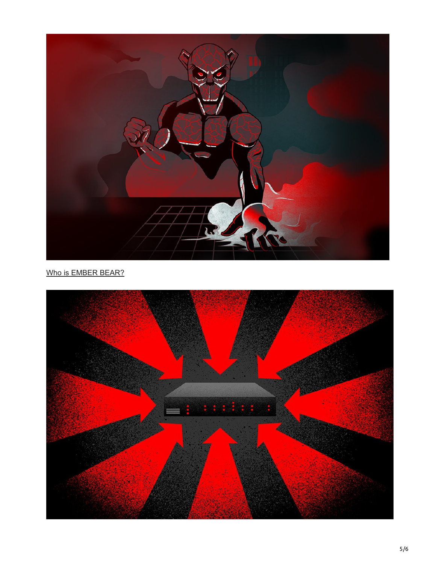

[Who is EMBER BEAR?](https://www.crowdstrike.com/blog/who-is-ember-bear/)